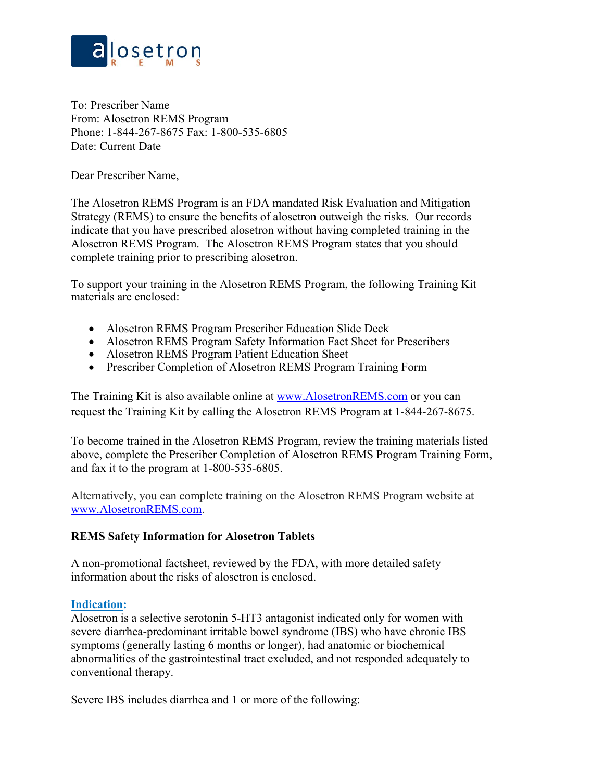

To: Prescriber Name From: Alosetron REMS Program Phone: 1-844-267-8675 Fax: 1-800-535-6805 Date: Current Date

Dear Prescriber Name,

The Alosetron REMS Program is an FDA mandated Risk Evaluation and Mitigation Strategy (REMS) to ensure the benefits of alosetron outweigh the risks. Our records indicate that you have prescribed alosetron without having completed training in the Alosetron REMS Program. The Alosetron REMS Program states that you should complete training prior to prescribing alosetron.

To support your training in the Alosetron REMS Program, the following Training Kit materials are enclosed:

- Alosetron REMS Program Prescriber Education Slide Deck
- Alosetron REMS Program Safety Information Fact Sheet for Prescribers
- Alosetron REMS Program Patient Education Sheet
- Prescriber Completion of Alosetron REMS Program Training Form

The Training Kit is also available online at [www.AlosetronREMS.com](http://www.alosetronrems.com/) or you can request the Training Kit by calling the Alosetron REMS Program at 1-844-267-8675.

To become trained in the Alosetron REMS Program, review the training materials listed above, complete the Prescriber Completion of Alosetron REMS Program Training Form, and fax it to the program at 1-800-535-6805.

Alternatively, you can complete training on the Alosetron REMS Program website at [www.AlosetronREMS.com.](http://www.alosetronrems.com/)

## **REMS Safety Information for Alosetron Tablets**

A non-promotional factsheet, reviewed by the FDA, with more detailed safety information about the risks of alosetron is enclosed.

## **Indication:**

Alosetron is a selective serotonin 5-HT3 antagonist indicated only for women with severe diarrhea-predominant irritable bowel syndrome (IBS) who have chronic IBS symptoms (generally lasting 6 months or longer), had anatomic or biochemical abnormalities of the gastrointestinal tract excluded, and not responded adequately to conventional therapy.

Severe IBS includes diarrhea and 1 or more of the following: